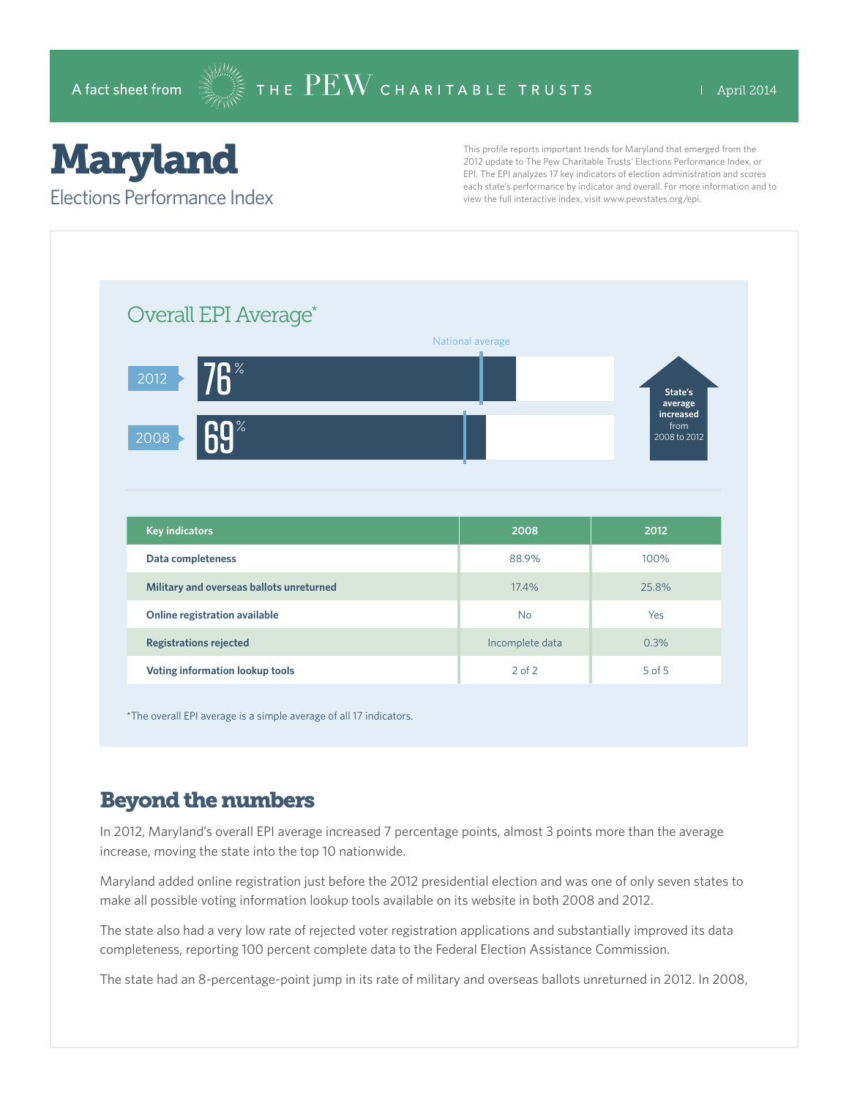# Maryland

Elections Performance Index

This profile reports important trends for Maryland that emerged from the 2012 update to The Pew Charitable Trusts' Elections Performance Index, or EPI. The EPI analyzes 17 key indicators of election administration and scores each state's performance by indicator and overall. For more information and to view the full interactive index, visit www.pewstates.org/epi.

| Overall EPI Average*                     |                  |                                 |
|------------------------------------------|------------------|---------------------------------|
|                                          | National average |                                 |
| $\overline{6}$<br>2012                   |                  |                                 |
|                                          |                  | State's<br>average<br>increased |
| <b>69%</b><br>2008                       |                  | from<br>2008 to 2012            |
|                                          |                  |                                 |
|                                          |                  |                                 |
|                                          |                  |                                 |
|                                          |                  |                                 |
| <b>Key indicators</b>                    | 2008             | 2012                            |
| Data completeness                        | 88.9%            | 100%                            |
| Military and overseas ballots unreturned | 17.4%            | 25.8%                           |
| Online registration available            | <b>No</b>        | Yes                             |
| <b>Registrations rejected</b>            | Incomplete data  | 0.3%                            |

\*The overall EPI average is a simple average of all 17 indicators.

## Beyond the numbers

In 2012, Maryland's overall EPI average increased 7 percentage points, almost 3 points more than the average increase, moving the state into the top 10 nationwide.

Maryland added online registration just before the 2012 presidential election and was one of only seven states to make all possible voting information lookup tools available on its website in both 2008 and 2012.

The state also had a very low rate of rejected voter registration applications and substantially improved its data completeness, reporting 100 percent complete data to the Federal Election Assistance Commission.

The state had an 8-percentage-point jump in its rate of military and overseas ballots unreturned in 2012. In 2008,